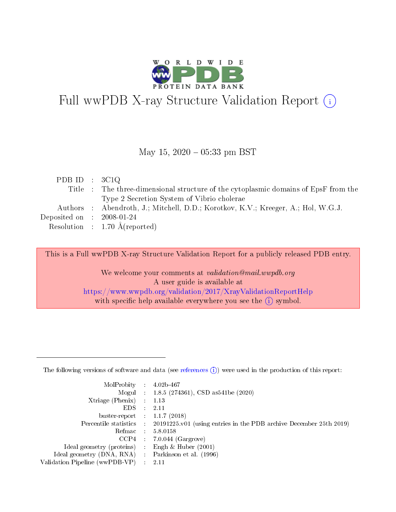

# Full wwPDB X-ray Structure Validation Report (i)

#### May 15,  $2020 - 05:33$  pm BST

| PDB ID : $3C1Q$                      |                                                                                     |
|--------------------------------------|-------------------------------------------------------------------------------------|
|                                      | Title : The three-dimensional structure of the cytoplasmic domains of EpsF from the |
|                                      | Type 2 Secretion System of Vibrio cholerae                                          |
|                                      | Authors : Abendroth, J.; Mitchell, D.D.; Korotkov, K.V.; Kreeger, A.; Hol, W.G.J.   |
| Deposited on $\therefore$ 2008-01-24 |                                                                                     |
|                                      | Resolution : $1.70 \text{ Å}$ (reported)                                            |

This is a Full wwPDB X-ray Structure Validation Report for a publicly released PDB entry.

We welcome your comments at validation@mail.wwpdb.org A user guide is available at <https://www.wwpdb.org/validation/2017/XrayValidationReportHelp> with specific help available everywhere you see the  $(i)$  symbol.

The following versions of software and data (see [references](https://www.wwpdb.org/validation/2017/XrayValidationReportHelp#references)  $(1)$ ) were used in the production of this report:

| $MolProbability$ 4.02b-467                        |               |                                                                                            |
|---------------------------------------------------|---------------|--------------------------------------------------------------------------------------------|
|                                                   |               | Mogul : $1.8.5$ (274361), CSD as 541be (2020)                                              |
| $X$ triage (Phenix) : 1.13                        |               |                                                                                            |
| EDS                                               | $\mathcal{L}$ | 2.11                                                                                       |
| buster-report : $1.1.7$ (2018)                    |               |                                                                                            |
|                                                   |               | Percentile statistics : 20191225.v01 (using entries in the PDB archive December 25th 2019) |
| Refmac $5.8.0158$                                 |               |                                                                                            |
|                                                   |               | $CCP4$ 7.0.044 (Gargrove)                                                                  |
| Ideal geometry (proteins) :                       |               | Engh $\&$ Huber (2001)                                                                     |
| Ideal geometry (DNA, RNA) Parkinson et al. (1996) |               |                                                                                            |
| Validation Pipeline (wwPDB-VP) : 2.11             |               |                                                                                            |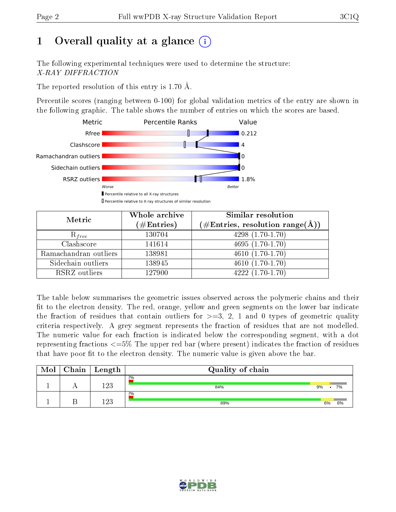# 1 [O](https://www.wwpdb.org/validation/2017/XrayValidationReportHelp#overall_quality)verall quality at a glance  $(i)$

The following experimental techniques were used to determine the structure: X-RAY DIFFRACTION

The reported resolution of this entry is 1.70 Å.

Percentile scores (ranging between 0-100) for global validation metrics of the entry are shown in the following graphic. The table shows the number of entries on which the scores are based.



| Metric                | Whole archive<br>$(\#\text{Entries})$ | <b>Similar resolution</b><br>$(\#\text{Entries}, \text{resolution range}(\text{\AA}))$ |
|-----------------------|---------------------------------------|----------------------------------------------------------------------------------------|
| $R_{free}$            | 130704                                | $4298(1.70-1.70)$                                                                      |
| Clashscore            | 141614                                | $4695(1.70-1.70)$                                                                      |
| Ramachandran outliers | 138981                                | $\overline{4610}$ $(1.70-1.70)$                                                        |
| Sidechain outliers    | 138945                                | $4610(1.70-1.70)$                                                                      |
| RSRZ outliers         | 127900                                | $4222(1.70-1.70)$                                                                      |

The table below summarises the geometric issues observed across the polymeric chains and their fit to the electron density. The red, orange, yellow and green segments on the lower bar indicate the fraction of residues that contain outliers for  $>=3, 2, 1$  and 0 types of geometric quality criteria respectively. A grey segment represents the fraction of residues that are not modelled. The numeric value for each fraction is indicated below the corresponding segment, with a dot representing fractions  $\epsilon=5\%$  The upper red bar (where present) indicates the fraction of residues that have poor fit to the electron density. The numeric value is given above the bar.

| Mol | Chain | $\vert$ Length | Quality of chain |    |    |
|-----|-------|----------------|------------------|----|----|
|     |       | 1 ດາ           | 2%<br>84%        | 9% | 7% |
|     |       | 1 ດ ດ          | 2%<br>89%        | 6% | 6% |

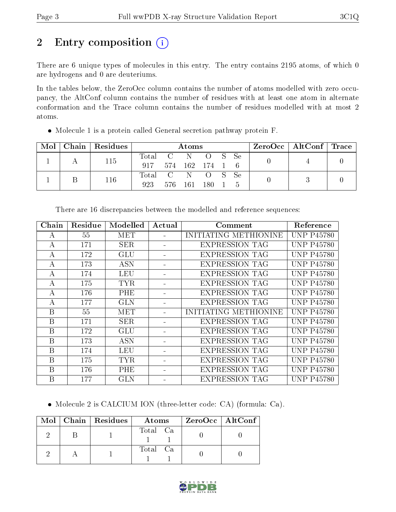# 2 Entry composition (i)

There are 6 unique types of molecules in this entry. The entry contains 2195 atoms, of which 0 are hydrogens and 0 are deuteriums.

In the tables below, the ZeroOcc column contains the number of atoms modelled with zero occupancy, the AltConf column contains the number of residues with at least one atom in alternate conformation and the Trace column contains the number of residues modelled with at most 2 atoms.

| $\text{Mol}$ | Chain Residues |                         | Atoms   |                 |                |  | $\rm ZeroOcc$   Alt $\rm Conf$   Trace |  |  |
|--------------|----------------|-------------------------|---------|-----------------|----------------|--|----------------------------------------|--|--|
|              | 115            | Total C N O S Se<br>917 |         | 574 162 174 1 6 |                |  |                                        |  |  |
|              | 116            | Total C N<br>923        | 576 161 |                 | OS Se<br>- 180 |  |                                        |  |  |

Molecule 1 is a protein called General secretion pathway protein F.

| Chain | Residue | Modelled   | Actual | Comment               | Reference         |
|-------|---------|------------|--------|-----------------------|-------------------|
| A     | 55      | <b>MET</b> |        | INITIATING METHIONINE | <b>UNP P45780</b> |
| А     | 171     | <b>SER</b> |        | <b>EXPRESSION TAG</b> | <b>UNP P45780</b> |
| А     | 172     | <b>GLU</b> |        | <b>EXPRESSION TAG</b> | <b>UNP P45780</b> |
| А     | 173     | <b>ASN</b> |        | <b>EXPRESSION TAG</b> | <b>UNP P45780</b> |
| А     | 174     | <b>LEU</b> |        | <b>EXPRESSION TAG</b> | <b>UNP P45780</b> |
| А     | 175     | <b>TYR</b> |        | <b>EXPRESSION TAG</b> | <b>UNP P45780</b> |
| А     | 176     | PHE        |        | <b>EXPRESSION TAG</b> | <b>UNP P45780</b> |
| А     | 177     | <b>GLN</b> |        | <b>EXPRESSION TAG</b> | <b>UNP P45780</b> |
| B     | 55      | MET        |        | INITIATING METHIONINE | <b>UNP P45780</b> |
| B     | 171     | <b>SER</b> |        | <b>EXPRESSION TAG</b> | <b>UNP P45780</b> |
| B     | 172     | GLU        |        | <b>EXPRESSION TAG</b> | <b>UNP P45780</b> |
| B     | 173     | <b>ASN</b> |        | <b>EXPRESSION TAG</b> | <b>UNP P45780</b> |
| B     | 174     | LEU        |        | <b>EXPRESSION TAG</b> | <b>UNP P45780</b> |
| B     | 175     | <b>TYR</b> |        | <b>EXPRESSION TAG</b> | <b>UNP P45780</b> |
| B     | 176     | PHE        |        | <b>EXPRESSION TAG</b> | <b>UNP P45780</b> |
| B     | 177     | <b>GLN</b> |        | <b>EXPRESSION TAG</b> | <b>UNP P45780</b> |

There are 16 discrepancies between the modelled and reference sequences:

Molecule 2 is CALCIUM ION (three-letter code: CA) (formula: Ca).

|  | $\text{Mol}$   Chain   Residues | Atoms    | ZeroOcc   AltConf |
|--|---------------------------------|----------|-------------------|
|  |                                 | Total Ca |                   |
|  |                                 | Total Ca |                   |

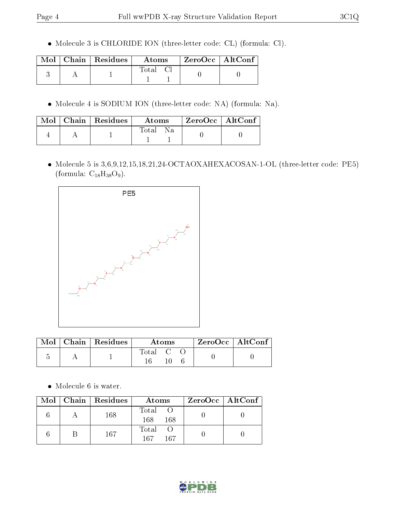Molecule 3 is CHLORIDE ION (three-letter code: CL) (formula: Cl).

|  | $\blacksquare$ Mol $\parallel$ Chain $\parallel$ Residues $\perp$ | <b>Atoms</b> | $\mid$ ZeroOcc $\mid$ AltConf |  |
|--|-------------------------------------------------------------------|--------------|-------------------------------|--|
|  |                                                                   | Total        |                               |  |

Molecule 4 is SODIUM ION (three-letter code: NA) (formula: Na).

|  | $\text{Mol}$   Chain   Residues | Atoms        | $\mid$ ZeroOcc $\mid$ AltConf $\mid$ |  |
|--|---------------------------------|--------------|--------------------------------------|--|
|  |                                 | Total<br>N a |                                      |  |

 Molecule 5 is 3,6,9,12,15,18,21,24-OCTAOXAHEXACOSAN-1-OL (three-letter code: PE5) (formula:  $C_{18}H_{38}O_9$ ).



|  | $\text{Mol}$   Chain   Residues | Atoms   |  |  | ZeroOcc   AltConf |  |
|--|---------------------------------|---------|--|--|-------------------|--|
|  |                                 | Total C |  |  |                   |  |

Molecule 6 is water.

|  | Mol   Chain   Residues | Atoms               | $ZeroOcc \mid AltConf \mid$ |
|--|------------------------|---------------------|-----------------------------|
|  | 168                    | Total<br>168<br>168 |                             |
|  | 167                    | Total<br>167<br>167 |                             |

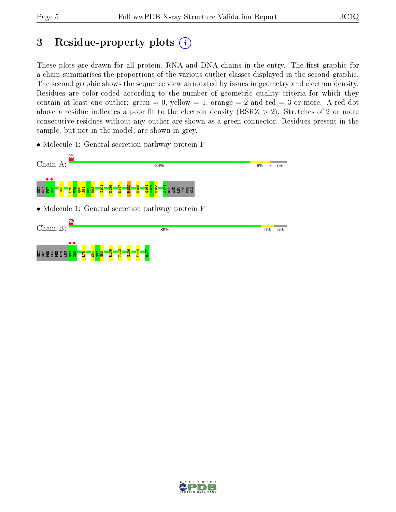# 3 Residue-property plots  $(i)$

These plots are drawn for all protein, RNA and DNA chains in the entry. The first graphic for a chain summarises the proportions of the various outlier classes displayed in the second graphic. The second graphic shows the sequence view annotated by issues in geometry and electron density. Residues are color-coded according to the number of geometric quality criteria for which they contain at least one outlier: green  $= 0$ , yellow  $= 1$ , orange  $= 2$  and red  $= 3$  or more. A red dot above a residue indicates a poor fit to the electron density (RSRZ  $> 2$ ). Stretches of 2 or more consecutive residues without any outlier are shown as a green connector. Residues present in the sample, but not in the model, are shown in grey.

• Molecule 1: General secretion pathway protein F



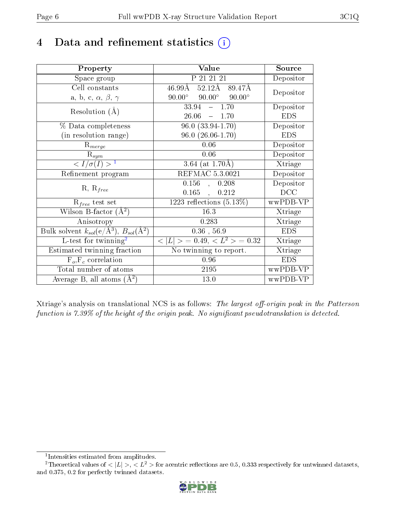## 4 Data and refinement statistics  $(i)$

| Property                                                         | Value                                           | Source     |
|------------------------------------------------------------------|-------------------------------------------------|------------|
| Space group                                                      | P 21 21 21                                      | Depositor  |
| Cell constants                                                   | $52.12\text{\AA}$<br>$46.99\rm\AA$<br>89.47Å    | Depositor  |
| a, b, c, $\alpha$ , $\beta$ , $\gamma$                           | $90.00^\circ$<br>$90.00^\circ$<br>$90.00^\circ$ |            |
| Resolution $(A)$                                                 | $-1.70$<br>33.94                                | Depositor  |
|                                                                  | $26.06 = 1.70$                                  | <b>EDS</b> |
| % Data completeness                                              | $96.0(33.94-1.70)$                              | Depositor  |
| (in resolution range)                                            | $96.0 (26.06 - 1.70)$                           | <b>EDS</b> |
| $R_{merge}$                                                      | 0.06                                            | Depositor  |
| $\mathrm{R}_{sym}$                                               | 0.06                                            | Depositor  |
| $\langle I/\sigma(I) \rangle^{-1}$                               | 3.64 (at $1.70\text{\AA}$ )                     | Xtriage    |
| Refinement program                                               | <b>REFMAC 5.3.0021</b>                          | Depositor  |
|                                                                  | 0.156<br>0.208<br>$\overline{a}$                | Depositor  |
| $R, R_{free}$                                                    | $0.165$ ,<br>0.212                              | DCC        |
| $R_{free}$ test set                                              | 1223 reflections $(5.13\%)$                     | wwPDB-VP   |
| Wilson B-factor $(A^2)$                                          | 16.3                                            | Xtriage    |
| Anisotropy                                                       | 0.283                                           | Xtriage    |
| Bulk solvent $k_{sol}(\text{e}/\text{A}^3), B_{sol}(\text{A}^2)$ | $0.36$ , 56.9                                   | <b>EDS</b> |
| L-test for $\mathrm{twinning}^2$                                 | $< L >$ = 0.49, $< L2$ = 0.32                   | Xtriage    |
| Estimated twinning fraction                                      | No twinning to report.                          | Xtriage    |
| $\overline{F_o}, \overline{F_c}$ correlation                     | 0.96                                            | <b>EDS</b> |
| Total number of atoms                                            | 2195                                            | wwPDB-VP   |
| Average B, all atoms $(A^2)$                                     | 13.0                                            | wwPDB-VP   |

Xtriage's analysis on translational NCS is as follows: The largest off-origin peak in the Patterson function is  $7.39\%$  of the height of the origin peak. No significant pseudotranslation is detected.

<sup>&</sup>lt;sup>2</sup>Theoretical values of  $\langle |L| \rangle$ ,  $\langle L^2 \rangle$  for acentric reflections are 0.5, 0.333 respectively for untwinned datasets, and 0.375, 0.2 for perfectly twinned datasets.



<span id="page-5-1"></span><span id="page-5-0"></span><sup>1</sup> Intensities estimated from amplitudes.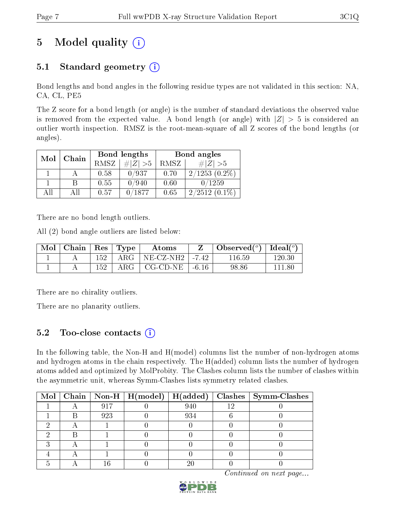# 5 Model quality  $(i)$

### 5.1 Standard geometry  $(i)$

Bond lengths and bond angles in the following residue types are not validated in this section: NA, CA, CL, PE5

The Z score for a bond length (or angle) is the number of standard deviations the observed value is removed from the expected value. A bond length (or angle) with  $|Z| > 5$  is considered an outlier worth inspection. RMSZ is the root-mean-square of all Z scores of the bond lengths (or angles).

| Mol | Chain |             | Bond lengths | Bond angles |                 |  |
|-----|-------|-------------|--------------|-------------|-----------------|--|
|     |       | <b>RMSZ</b> | $\# Z  > 5$  | RMSZ        | $\# Z  > 5$     |  |
|     |       | 0.58        | 0/937        | 0.70        | $2/1253(0.2\%)$ |  |
|     | B     | 0.55        | 0/940        | 0.60        | 0/1259          |  |
| AH  | ΑH    | 0.57        | 0/1877       | 0.65        | $2/2512(0.1\%)$ |  |

There are no bond length outliers.

All (2) bond angle outliers are listed below:

| Mol   Chain   Res   Type |     |              | Atoms                                |       | Observed $(^\circ)$ | Ideal $({}^o)$ |
|--------------------------|-----|--------------|--------------------------------------|-------|---------------------|----------------|
|                          | 152 | $\rm{ARG}^-$ | $\mid$ NE-CZ-NH2 $\mid$ -7.42 $\mid$ |       | 116.59              | 120.30         |
|                          | 152 | $\rm{ARG}^-$ | CG-CD-NE                             | -6.16 | 98.86               | 111.80         |

There are no chirality outliers.

There are no planarity outliers.

### $5.2$  Too-close contacts  $\overline{()}$

In the following table, the Non-H and H(model) columns list the number of non-hydrogen atoms and hydrogen atoms in the chain respectively. The H(added) column lists the number of hydrogen atoms added and optimized by MolProbity. The Clashes column lists the number of clashes within the asymmetric unit, whereas Symm-Clashes lists symmetry related clashes.

|  |     | $\text{Mol} \mid \text{Chain} \mid \text{Non-H} \mid \text{H(model)} \mid \text{H(added)}$ |     |     | $Clashes$   Symm-Clashes |
|--|-----|--------------------------------------------------------------------------------------------|-----|-----|--------------------------|
|  | 917 |                                                                                            | 940 | 1 ຕ |                          |
|  | 923 |                                                                                            | 934 |     |                          |
|  |     |                                                                                            |     |     |                          |
|  |     |                                                                                            |     |     |                          |
|  |     |                                                                                            |     |     |                          |
|  |     |                                                                                            |     |     |                          |
|  |     |                                                                                            |     |     |                          |

Continued on next page...

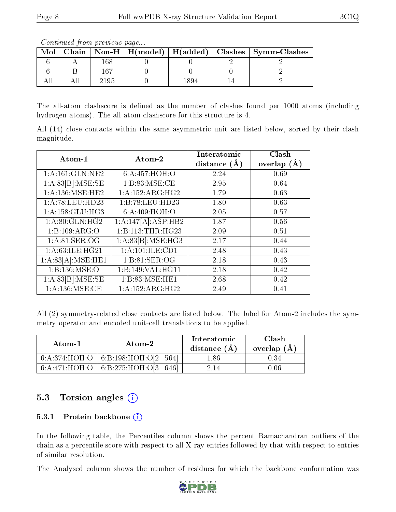The all-atom clashscore is defined as the number of clashes found per 1000 atoms (including hydrogen atoms). The all-atom clashscore for this structure is 4.

All (14) close contacts within the same asymmetric unit are listed below, sorted by their clash magnitude.

| Atom-1              | Atom-2                          | Interatomic      | Clash         |
|---------------------|---------------------------------|------------------|---------------|
|                     |                                 | distance $(\AA)$ | overlap $(A)$ |
| 1: A:161: GLN:NE2   | 6:A:457:HOH:O                   | 2.24             | 0.69          |
| 1:A:83[B]:MSE:SE    | 1:B:83:MSE:CE                   | 2.95             | 0.64          |
| 1: A: 136: MSE: HE2 | 1:A:152:ARG:HG2                 | 1.79             | 0.63          |
| 1:A:78:LEU:HD23     | 1:B:78:LEU:HD23                 | 1.80             | 0.63          |
| 1:A:158:GLU:HG3     | 6: A:409:HOH:O                  | 2.05             | 0.57          |
| 1: A:80: GLN: HG2   | $1:A:147[A]\overline{.ASP:HB2}$ | 1.87             | 0.56          |
| 1:B:109:ARG:O       | 1:B:113:THR:HG23                | 2.09             | 0.51          |
| 1: A:81: SER:OG     | 1:A:83[B]:MSE:HG3               | 2.17             | 0.44          |
| 1: A:63: ILE: HG21  | 1:A:101:ILE:CD1                 | 2.48             | 0.43          |
| 1:A:83[A]:MSE:HE1   | 1: B:81: SER:OG                 | 2.18             | 0.43          |
| 1: B: 136: MSE: O   | 1:B:149:VAL:HG11                | 2.18             | 0.42          |
| 1:A:83[B]:MSE:SE    | 1:B:83:MSE:HE1                  | 2.68             | 0.42          |
| 1:A:136:MSE:CE      | 1: A: 152: ARG: HG2             | 2.49             | 0.41          |

All (2) symmetry-related close contacts are listed below. The label for Atom-2 includes the symmetry operator and encoded unit-cell translations to be applied.

| Atom-1 | Atom-2                               | Interatomic<br>distance $(A)$ | Clash<br>overlap $(A)$ |
|--------|--------------------------------------|-------------------------------|------------------------|
|        | 6:A:374:HOH:O 6:B:198:HOH:O[2 564]   | 1.86                          | 0.34                   |
|        | 6:A:471:HOH:O   6:B:275:HOH:O[3 646] | 2.14                          | N.N6                   |

### 5.3 Torsion angles  $(i)$

#### 5.3.1 Protein backbone (i)

In the following table, the Percentiles column shows the percent Ramachandran outliers of the chain as a percentile score with respect to all X-ray entries followed by that with respect to entries of similar resolution.

The Analysed column shows the number of residues for which the backbone conformation was



 $Mol | Chain | Non-H | H (model) | H (added) | Clashes | Symm-Clashes$  $6$  | A | 168 | 0 | 0 | 2 | 2 6 | B | 167 | 0 | 0 | 0 | 2 All | All | 2195 | 0 | 1894 | 14 | 2

Continued from previous page...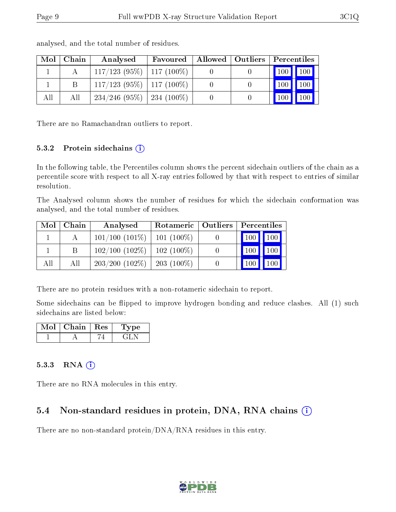|     | $\mathrm{Mol}\mid\mathrm{Chain}$ | Analysed                               |  | Favoured   Allowed   Outliers   Percentiles |
|-----|----------------------------------|----------------------------------------|--|---------------------------------------------|
|     |                                  | $\mid 117/123$ (95%) $\mid 117$ (100%) |  | 100 100                                     |
|     |                                  | $\mid$ 117/123 (95%) $\mid$ 117 (100%) |  | $\vert$ 100 $\vert$<br>$\vert$ 100 $\vert$  |
| All | All                              | $234/246$ (95\%)   234 (100\%)         |  | $\vert$ 100 $\vert$                         |

analysed, and the total number of residues.

There are no Ramachandran outliers to report.

#### 5.3.2 Protein sidechains (i)

In the following table, the Percentiles column shows the percent sidechain outliers of the chain as a percentile score with respect to all X-ray entries followed by that with respect to entries of similar resolution.

The Analysed column shows the number of residues for which the sidechain conformation was analysed, and the total number of residues.

| Mol | Chain | Analysed                            | Rotameric   Outliers |                                 | Percentiles |  |
|-----|-------|-------------------------------------|----------------------|---------------------------------|-------------|--|
|     |       | $101/100$ $(101\%)$   101 $(100\%)$ |                      | $\vert$ 100 $\vert$ 100 $\vert$ |             |  |
|     |       | $102/100$ (102\%)   102 (100\%)     |                      | 100                             | 100         |  |
| All | All   | $203/200$ (102\%)                   | $203(100\%)$         | 100                             | 100         |  |

There are no protein residues with a non-rotameric sidechain to report.

Some sidechains can be flipped to improve hydrogen bonding and reduce clashes. All (1) such sidechains are listed below:

| Mol | Chain   Res | L'vpe |
|-----|-------------|-------|
|     |             |       |

#### $5.3.3$  RNA  $(i)$

There are no RNA molecules in this entry.

### 5.4 Non-standard residues in protein, DNA, RNA chains  $(i)$

There are no non-standard protein/DNA/RNA residues in this entry.

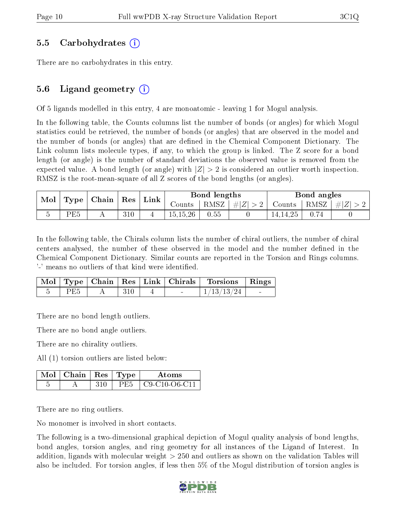#### 5.5 Carbohydrates (i)

There are no carbohydrates in this entry.

### 5.6 Ligand geometry (i)

Of 5 ligands modelled in this entry, 4 are monoatomic - leaving 1 for Mogul analysis.

In the following table, the Counts columns list the number of bonds (or angles) for which Mogul statistics could be retrieved, the number of bonds (or angles) that are observed in the model and the number of bonds (or angles) that are defined in the Chemical Component Dictionary. The Link column lists molecule types, if any, to which the group is linked. The Z score for a bond length (or angle) is the number of standard deviations the observed value is removed from the expected value. A bond length (or angle) with  $|Z| > 2$  is considered an outlier worth inspection. RMSZ is the root-mean-square of all Z scores of the bond lengths (or angles).

| $\mathbf{Mod}_{\perp}$ | $\mid$ Type $\mid$ Chain $\mid$ Res $\mid$ Link $\mid$ |  |     |  | Bond lengths |      |                    | Bond angles   |      |         |
|------------------------|--------------------------------------------------------|--|-----|--|--------------|------|--------------------|---------------|------|---------|
|                        |                                                        |  |     |  | Counts       |      | RMSZ   $\# Z  > 2$ | Counts   RMSZ |      | #Z  > 2 |
|                        | PE5                                                    |  | 310 |  | 15,15,26     | 0.55 |                    | 14, 14, 25    | 0.74 |         |

In the following table, the Chirals column lists the number of chiral outliers, the number of chiral centers analysed, the number of these observed in the model and the number defined in the Chemical Component Dictionary. Similar counts are reported in the Torsion and Rings columns. '-' means no outliers of that kind were identified.

|     |     |                          | Mol   Type   Chain   Res   Link   Chirals   Torsions   Rings |  |
|-----|-----|--------------------------|--------------------------------------------------------------|--|
| PE5 | 310 | <b>Contract Contract</b> | $\mid 1/13/13/24 \mid$                                       |  |

There are no bond length outliers.

There are no bond angle outliers.

There are no chirality outliers.

All (1) torsion outliers are listed below:

| $\blacksquare$ Mol $\vert$ Chain $\vert$ Res $\vert$ Type |      | Atoms                 |
|-----------------------------------------------------------|------|-----------------------|
|                                                           | PE5. | $C9 - C10 - O6 - C11$ |

There are no ring outliers.

No monomer is involved in short contacts.

The following is a two-dimensional graphical depiction of Mogul quality analysis of bond lengths, bond angles, torsion angles, and ring geometry for all instances of the Ligand of Interest. In addition, ligands with molecular weight > 250 and outliers as shown on the validation Tables will also be included. For torsion angles, if less then 5% of the Mogul distribution of torsion angles is

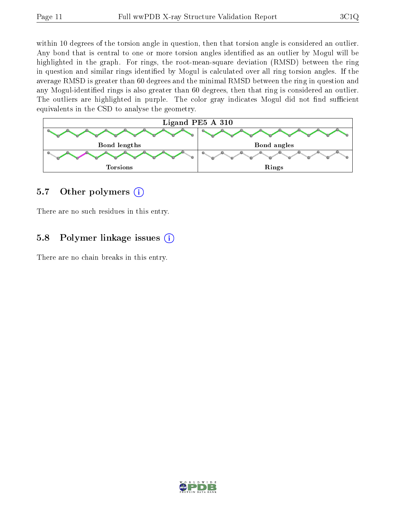within 10 degrees of the torsion angle in question, then that torsion angle is considered an outlier. Any bond that is central to one or more torsion angles identified as an outlier by Mogul will be highlighted in the graph. For rings, the root-mean-square deviation (RMSD) between the ring in question and similar rings identified by Mogul is calculated over all ring torsion angles. If the average RMSD is greater than 60 degrees and the minimal RMSD between the ring in question and any Mogul-identified rings is also greater than 60 degrees, then that ring is considered an outlier. The outliers are highlighted in purple. The color gray indicates Mogul did not find sufficient equivalents in the CSD to analyse the geometry.



#### 5.7 [O](https://www.wwpdb.org/validation/2017/XrayValidationReportHelp#nonstandard_residues_and_ligands)ther polymers  $(i)$

There are no such residues in this entry.

#### 5.8 Polymer linkage issues  $(i)$

There are no chain breaks in this entry.

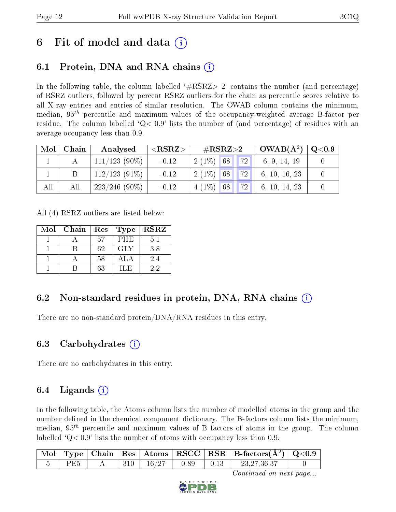## 6 Fit of model and data  $\left( \cdot \right)$

### 6.1 Protein, DNA and RNA chains (i)

In the following table, the column labelled  $#RSRZ>2'$  contains the number (and percentage) of RSRZ outliers, followed by percent RSRZ outliers for the chain as percentile scores relative to all X-ray entries and entries of similar resolution. The OWAB column contains the minimum, median,  $95<sup>th</sup>$  percentile and maximum values of the occupancy-weighted average B-factor per residue. The column labelled  $Q< 0.9$  lists the number of (and percentage) of residues with an average occupancy less than 0.9.

| Mol | Chain | Analysed         | ${ <\hspace{-1.5pt}{\mathrm{RSRZ}} \hspace{-1.5pt}>}$ | $\#\text{RSRZ}\text{>2}$ | $\vert$ OWAB( $A^2$ ) $\vert$ | $\rm Q\textcolor{black}{<}0.9$ |
|-----|-------|------------------|-------------------------------------------------------|--------------------------|-------------------------------|--------------------------------|
|     |       | $111/123$ (90%)  | $-0.12$                                               | <b>72</b><br>$2(1\%)$ 68 | 6, 9, 14, 19                  |                                |
|     |       | $112/123$ (91\%) | $-0.12$                                               | <b>72</b><br>$2(1\%)$ 68 | 6, 10, 16, 23                 |                                |
| All | All   | $223/246(90\%)$  | $-0.12$                                               | 72<br>$4(1\%)$<br>68     | 6, 10, 14, 23                 |                                |

All (4) RSRZ outliers are listed below:

| Mol | $\blacksquare$ Chain | $\operatorname{Res}% \left( \mathcal{N}\right) \equiv\operatorname*{Res}\left( \mathcal{N}\right)$ | <b>Type</b> | <b>RSRZ</b> |
|-----|----------------------|----------------------------------------------------------------------------------------------------|-------------|-------------|
|     |                      | 57                                                                                                 | <b>PHE</b>  | 5.1         |
|     |                      | 62                                                                                                 | <b>GLY</b>  | 3.8         |
|     |                      | 58                                                                                                 | ALA         | 2.4         |
|     |                      | 63                                                                                                 | U.E.        | 22          |

### 6.2 Non-standard residues in protein, DNA, RNA chains (i)

There are no non-standard protein/DNA/RNA residues in this entry.

### 6.3 Carbohydrates (i)

There are no carbohydrates in this entry.

### $6.4$  Ligands  $(i)$

In the following table, the Atoms column lists the number of modelled atoms in the group and the number defined in the chemical component dictionary. The B-factors column lists the minimum, median,  $95<sup>th</sup>$  percentile and maximum values of B factors of atoms in the group. The column labelled  $Q< 0.9$  lists the number of atoms with occupancy less than 0.9.

|                 |        |                 |                                                      | $\vert$ Mol $\vert$ Type $\vert$ Chain $\vert$ Res $\vert$ Atoms $\vert$ RSCC $\vert$ RSR $\vert$ B-factors(A <sup>2</sup> ) $\vert$ Q<0.9 |  |
|-----------------|--------|-----------------|------------------------------------------------------|--------------------------------------------------------------------------------------------------------------------------------------------|--|
| PE <sub>5</sub> | $-310$ | $+16/27 + 0.89$ | $\begin{array}{c} \begin{array}{c} \end{array}$ 0.13 | 23,27,36,37                                                                                                                                |  |

Continued on next page...

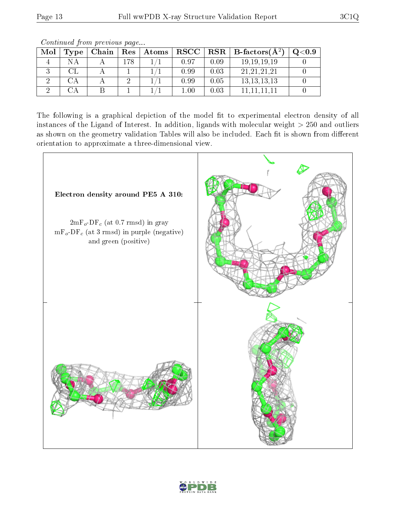| Mol | Type | Chain | $\operatorname{Res}$ | $\mid$ $\bm{\mathrm{Atoms}}$ |               |      | $RSCC   RSR   B-factors(A2)$ | $\mathrm{Q}{<}0.9$ |
|-----|------|-------|----------------------|------------------------------|---------------|------|------------------------------|--------------------|
|     | N A  |       | 78                   |                              | 0.97          | 0.09 | 19, 19, 19, 19               |                    |
|     |      |       |                      |                              | 0.99          | 0.03 | 21, 21, 21, 21               |                    |
|     |      |       |                      |                              | 0.99          | 0.05 | 13, 13, 13, 13               |                    |
|     |      |       |                      |                              | $\lfloor .00$ | 0.03 |                              |                    |

Continued from previous page...

The following is a graphical depiction of the model fit to experimental electron density of all instances of the Ligand of Interest. In addition, ligands with molecular weight  $> 250$  and outliers as shown on the geometry validation Tables will also be included. Each fit is shown from different orientation to approximate a three-dimensional view.